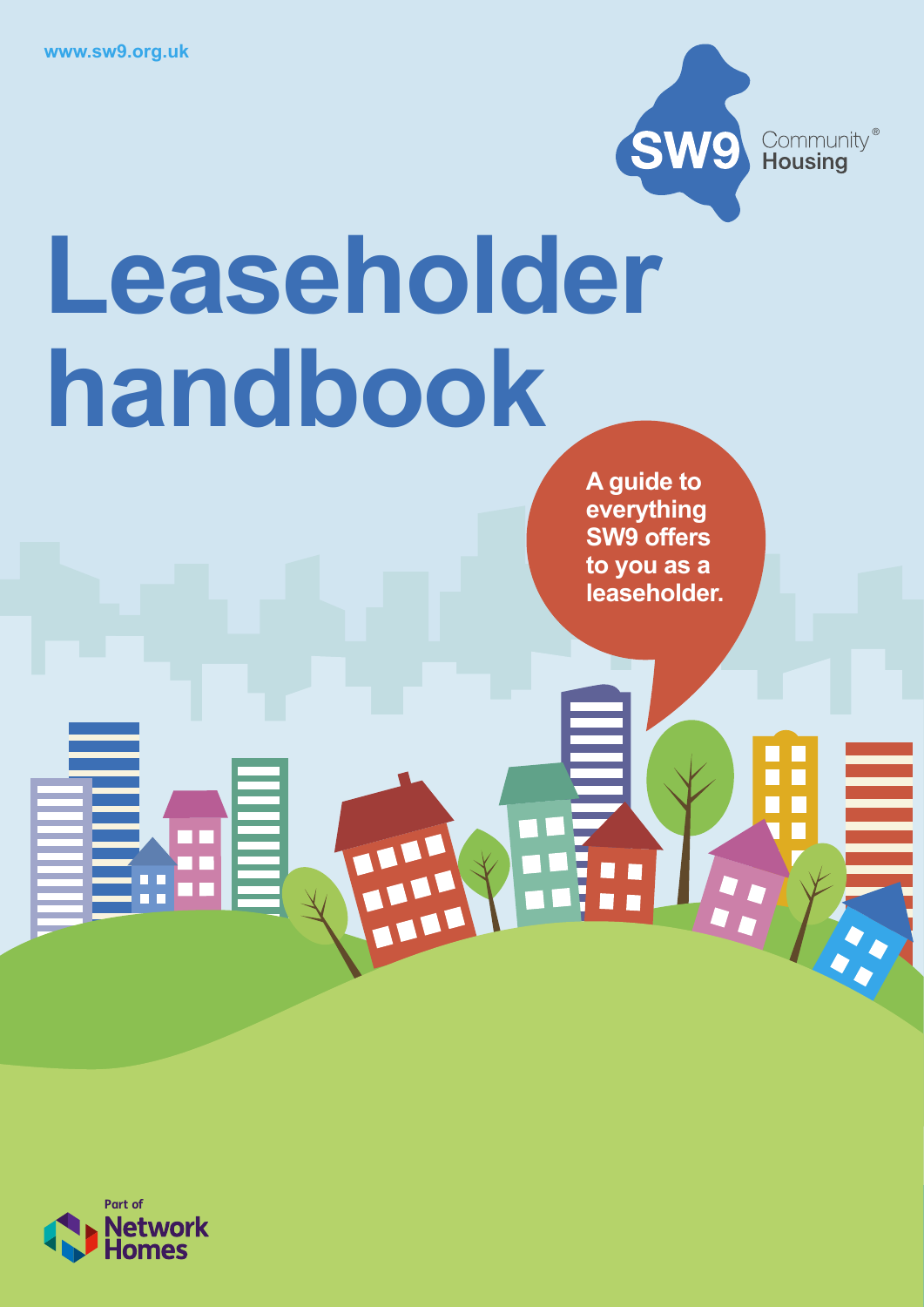

# **Leaseholder handbook**

THE R

**A guide to everything SW9 offers to you as a leaseholder.**

H.

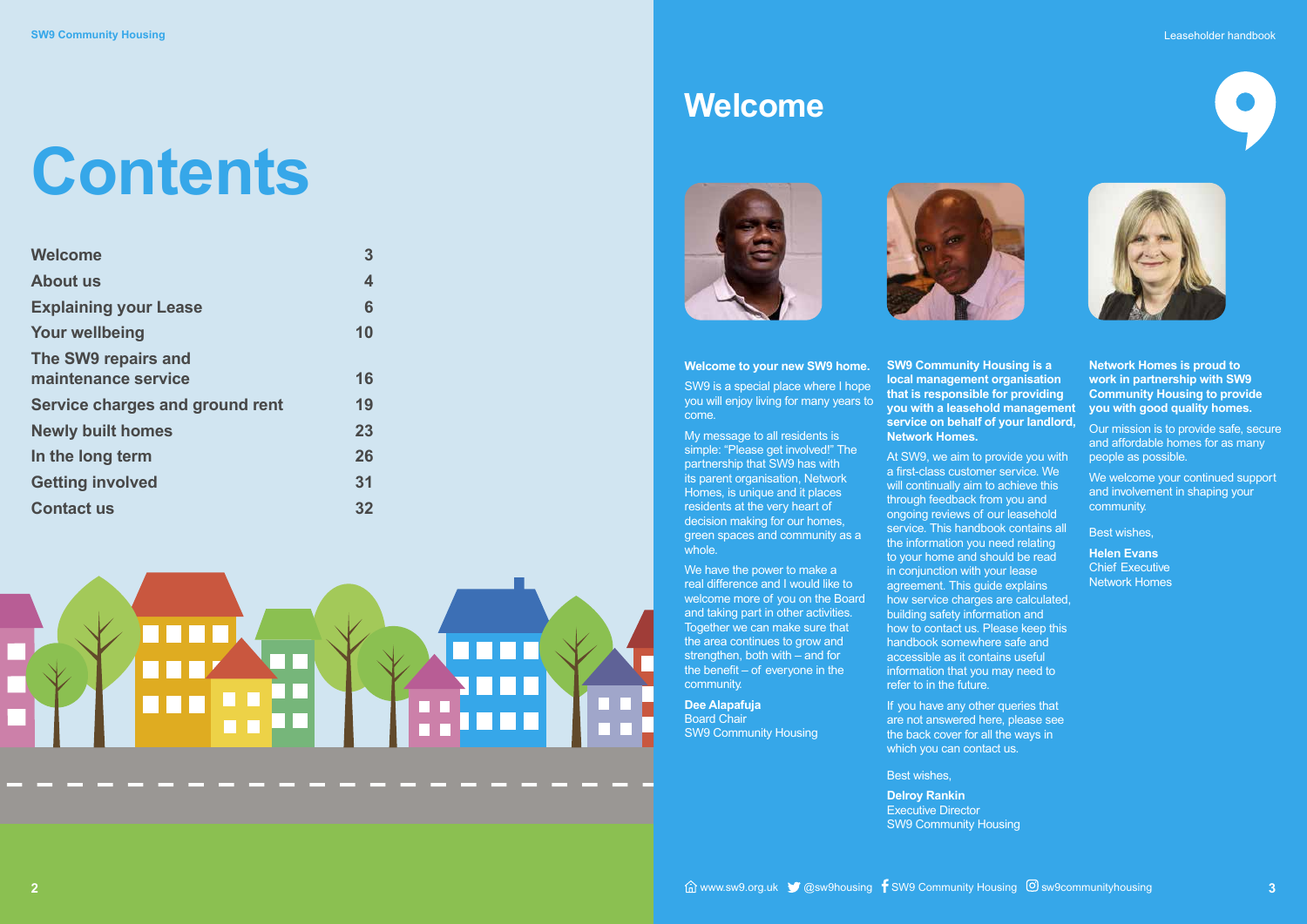| <b>Welcome</b>                  | 3  |
|---------------------------------|----|
| <b>About us</b>                 | 4  |
| <b>Explaining your Lease</b>    | 6  |
| <b>Your wellbeing</b>           | 10 |
| The SW9 repairs and             |    |
| maintenance service             | 16 |
| Service charges and ground rent | 19 |
| <b>Newly built homes</b>        | 23 |
| In the long term                | 26 |
| <b>Getting involved</b>         | 31 |
| <b>Contact us</b>               | 32 |



## **Contents**







## **Welcome**





**Welcome to your new SW9 home.** SW9 is a special place where I hope you will enjoy living for many years to come.

We have the power to make a real difference and I would like to welcome more of you on the Board and taking part in other activities. Together we can make sure that the area continues to grow and strengthen, both with – and for the benefit – of everyone in the community.

My message to all residents is simple: "Please get involved!" The partnership that SW9 has with its parent organisation, Network Homes, is unique and it places residents at the very heart of decision making for our homes, green spaces and community as a whole.

> If you have any other queries that are not answered here, please see the back cover for all the ways in which you can contact us.

**Dee Alapafuja** Board Chair SW9 Community Housing **SW9 Community Housing is a local management organisation that is responsible for providing you with a leasehold management service on behalf of your landlord, Network Homes.**

> We welcome your continued support and involvement in shaping your community.

At SW9, we aim to provide you with a first-class customer service. We will continually aim to achieve this through feedback from you and ongoing reviews of our leasehold service. This handbook contains all the information you need relating to your home and should be read in conjunction with your lease agreement. This guide explains how service charges are calculated. building safety information and how to contact us. Please keep this handbook somewhere safe and accessible as it contains useful information that you may need to refer to in the future.

Best wishes,

**Delroy Rankin** Executive Director SW9 Community Housing

**Network Homes is proud to work in partnership with SW9 Community Housing to provide you with good quality homes.** 

Our mission is to provide safe, secure and affordable homes for as many people as possible.

Best wishes,

**Helen Evans** Chief Executive Network Homes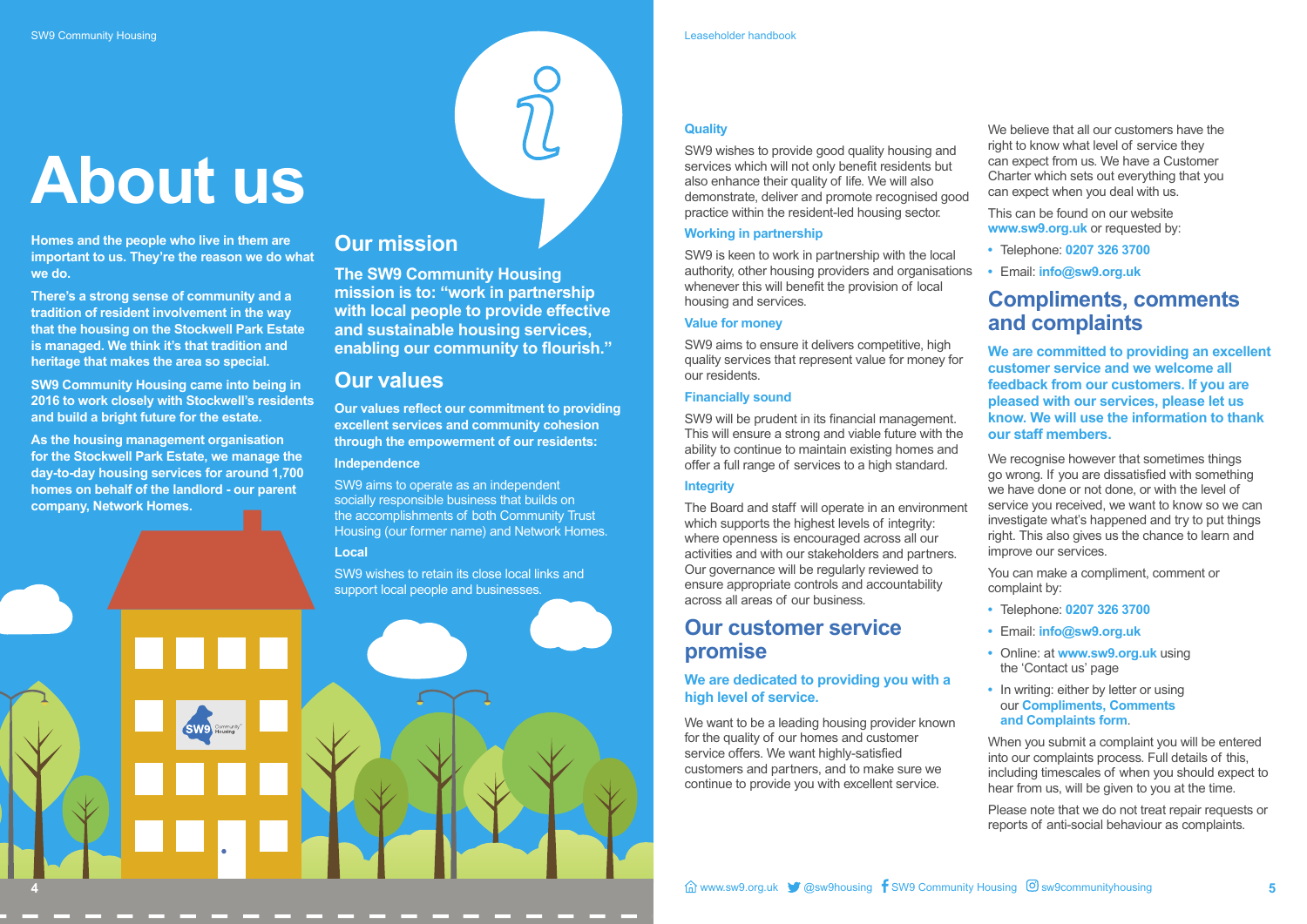**4**

## **About us**

**Homes and the people who live in them are important to us. They're the reason we do what we do.**

**There's a strong sense of community and a tradition of resident involvement in the way that the housing on the Stockwell Park Estate is managed. We think it's that tradition and heritage that makes the area so special.**

**SW9 Community Housing came into being in 2016 to work closely with Stockwell's residents and build a bright future for the estate.**

**As the housing management organisation for the Stockwell Park Estate, we manage the day-to-day housing services for around 1,700 homes on behalf of the landlord - our parent company, Network Homes.**

#### **Quality**

SW9 wishes to provide good quality housing and services which will not only benefit residents but also enhance their quality of life. We will also demonstrate, deliver and promote recognised good practice within the resident-led housing sector.

#### **Working in partnership**

SW9 is keen to work in partnership with the local authority, other housing providers and organisations whenever this will benefit the provision of local housing and services.

We want to be a leading housing provider known for the quality of our homes and customer service offers. We want highly-satisfied customers and partners, and to make sure we continue to provide you with excellent service.

#### **Value for money**

We believe that all our customers have the right to know what level of service they can expect from us. We have a Customer Charter which sets out everything that you can expect when you deal with us.

SW9 aims to ensure it delivers competitive, high quality services that represent value for money for our residents.

#### **Financially sound**

SW9 will be prudent in its financial management. This will ensure a strong and viable future with the ability to continue to maintain existing homes and offer a full range of services to a high standard.

#### **Integrity**

The Board and staff will operate in an environment which supports the highest levels of integrity: where openness is encouraged across all our activities and with our stakeholders and partners. Our governance will be regularly reviewed to ensure appropriate controls and accountability across all areas of our business.

### **Our customer service promise**

#### **We are dedicated to providing you with a high level of service.**

This can be found on our website **www.sw9.org.uk** or requested by:

- **•** Telephone: **0207 326 3700**
- **•** Email: **info@sw9.org.uk**

## **Compliments, comments and complaints**

**We are committed to providing an excellent customer service and we welcome all feedback from our customers. If you are pleased with our services, please let us know. We will use the information to thank our staff members.**

We recognise however that sometimes things go wrong. If you are dissatisfied with something we have done or not done, or with the level of service you received, we want to know so we can investigate what's happened and try to put things right. This also gives us the chance to learn and improve our services.

You can make a compliment, comment or complaint by:

- **•** Telephone: **0207 326 3700**
- **•** Email: **info@sw9.org.uk**
- **•** Online: at **www.sw9.org.uk** using the 'Contact us' page
- **•** In writing: either by letter or using our **Compliments, Comments and Complaints form**.

When you submit a complaint you will be entered into our complaints process. Full details of this, including timescales of when you should expect to hear from us, will be given to you at the time.

Please note that we do not treat repair requests or reports of anti-social behaviour as complaints.

### **Our mission**

**The SW9 Community Housing mission is to: "work in partnership with local people to provide effective and sustainable housing services, enabling our community to flourish."**

### **Our values**

**Our values reflect our commitment to providing excellent services and community cohesion through the empowerment of our residents: Independence**

SW9 aims to operate as an independent socially responsible business that builds on the accomplishments of both Community Trust Housing (our former name) and Network Homes.

#### **Local**

SW9 wishes to retain its close local links and support local people and businesses.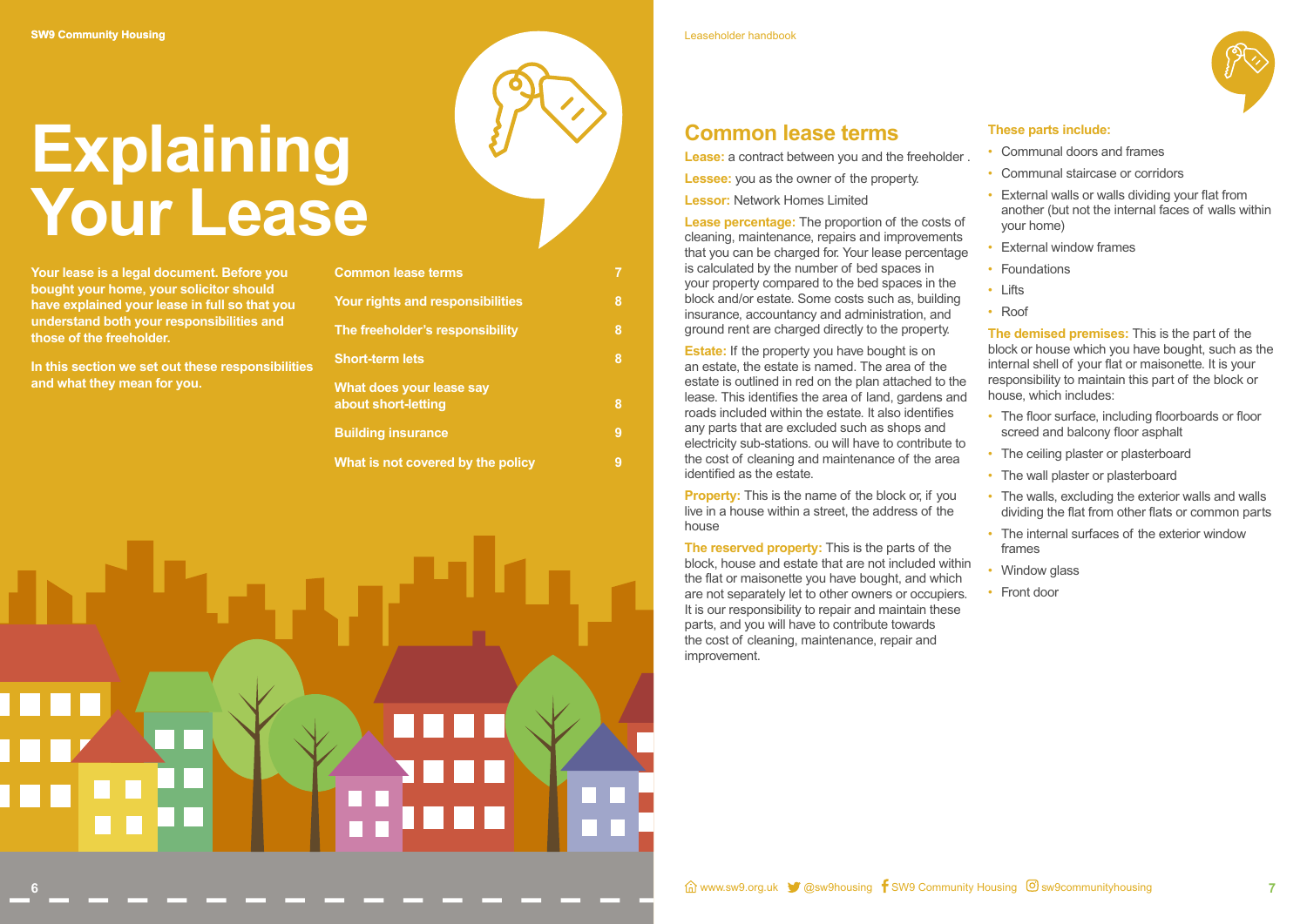## **Explaining Your Lease**



## **Common lease terms**

**Lease:** a contract between you and the freeholder **Lessee:** you as the owner of the property. **Lessor:** Network Homes Limited

**Lease percentage:** The proportion of the costs of cleaning, maintenance, repairs and improvements that you can be charged for. Your lease percentage is calculated by the number of bed spaces in your property compared to the bed spaces in the block and/or estate. Some costs such as, building insurance, accountancy and administration, and ground rent are charged directly to the property.

**Estate:** If the property you have bought is on an estate, the estate is named. The area of the estate is outlined in red on the plan attached to the lease. This identifies the area of land, gardens and roads included within the estate. It also identifies any parts that are excluded such as shops and electricity sub-stations. ou will have to contribute to the cost of cleaning and maintenance of the area identified as the estate.

**Property:** This is the name of the block or, if you live in a house within a street, the address of the house

**The reserved property:** This is the parts of the block, house and estate that are not included within the flat or maisonette you have bought, and which are not separately let to other owners or occupiers. It is our responsibility to repair and maintain these parts, and you will have to contribute towards the cost of cleaning, maintenance, repair and improvement.

#### **These parts include:**

- Communal doors and frames
- Communal staircase or corridors
- External walls or walls dividing your flat from another (but not the internal faces of walls within your home)
- **External window frames**
- Foundations
- Lifts
- Roof

**The demised premises:** This is the part of the block or house which you have bought, such as the internal shell of your flat or maisonette. It is your responsibility to maintain this part of the block or house, which includes:

- The floor surface, including floorboards or floor screed and balcony floor asphalt
- The ceiling plaster or plasterboard
- The wall plaster or plasterboard
- The walls, excluding the exterior walls and walls dividing the flat from other flats or common parts
- The internal surfaces of the exterior window frames
- Window glass
- Front door

**7**

Leaseholder handbook

**Your lease is a legal document. Before you bought your home, your solicitor should have explained your lease in full so that you understand both your responsibilities and those of the freeholder.**

**In this section we set out these responsibilities and what they mean for you.** 

| <b>Common lease terms</b>                       |   |
|-------------------------------------------------|---|
| <b>Your rights and responsibilities</b>         | 8 |
| The freeholder's responsibility                 | 8 |
| <b>Short-term lets</b>                          | 8 |
| What does your lease say<br>about short-letting | 8 |
| <b>Building insurance</b>                       | 9 |
| What is not covered by the policy               | 9 |

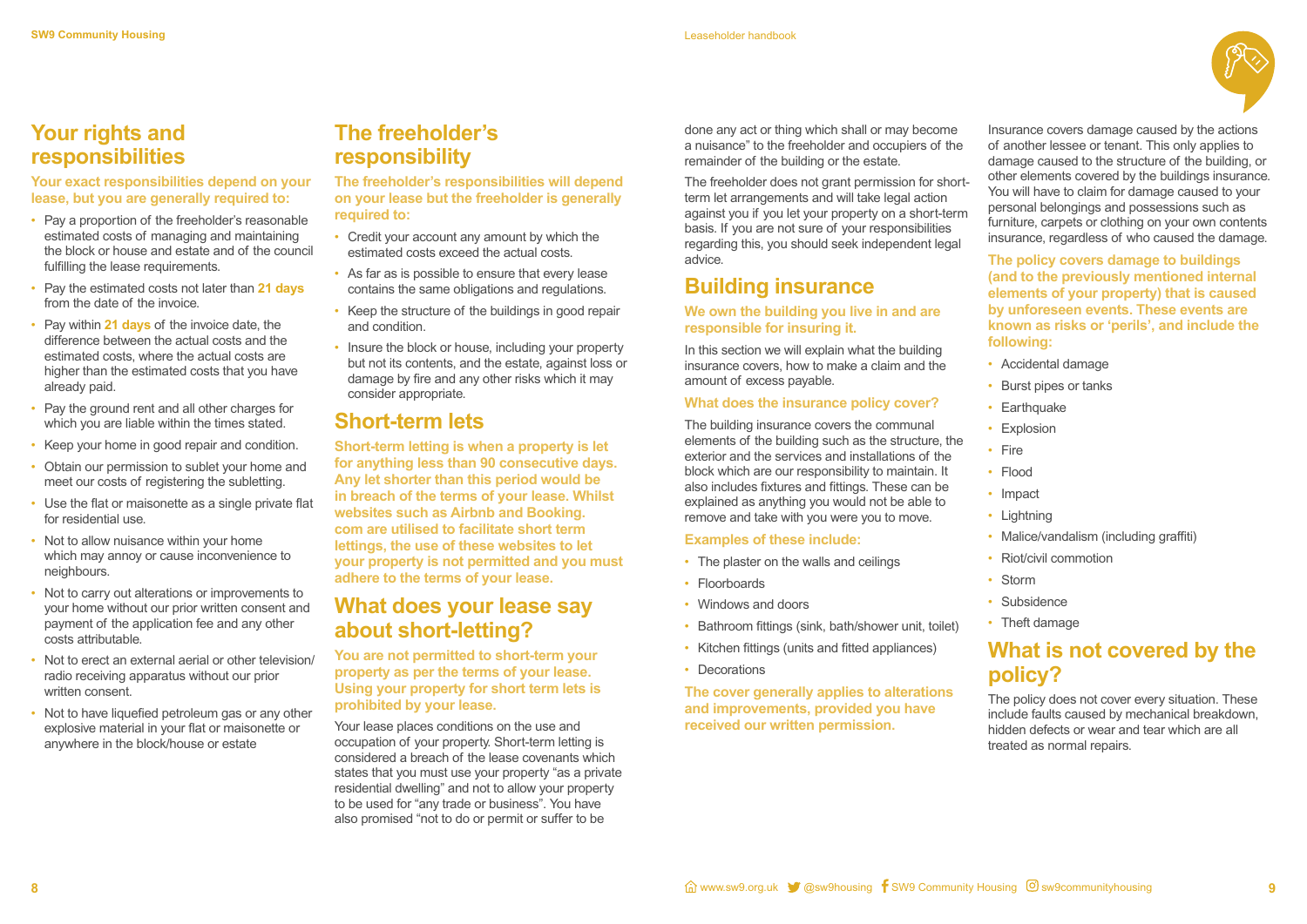

## **Your rights and responsibilities**

#### **Your exact responsibilities depend on your lease, but you are generally required to:**

- Pay a proportion of the freeholder's reasonable estimated costs of managing and maintaining the block or house and estate and of the council fulfilling the lease requirements.
- Pay the estimated costs not later than **21 days** from the date of the invoice.
- Pay within **21 days** of the invoice date, the difference between the actual costs and the estimated costs, where the actual costs are higher than the estimated costs that you have already paid.
- Pay the ground rent and all other charges for which you are liable within the times stated.
- Keep your home in good repair and condition.
- Obtain our permission to sublet your home and meet our costs of registering the subletting.
- Use the flat or maisonette as a single private flat for residential use.
- Not to allow nuisance within your home which may annoy or cause inconvenience to neighbours.
- Not to carry out alterations or improvements to your home without our prior written consent and payment of the application fee and any other costs attributable.
- Not to erect an external aerial or other television/ radio receiving apparatus without our prior written consent.
- Not to have liquefied petroleum gas or any other explosive material in your flat or maisonette or anywhere in the block/house or estate

## **The freeholder's responsibility**

**The freeholder's responsibilities will depend on your lease but the freeholder is generally required to:** 

> In this section we will explain what the building insurance covers, how to make a claim and the amount of excess payable.

- Credit your account any amount by which the estimated costs exceed the actual costs.
- As far as is possible to ensure that every lease contains the same obligations and regulations.
- Keep the structure of the buildings in good repair and condition.
- Insure the block or house, including your property but not its contents, and the estate, against loss or damage by fire and any other risks which it may consider appropriate.

## **Short-term lets**

- The plaster on the walls and ceilings
- Floorboards
- Windows and doors
- Bathroom fittings (sink, bath/shower unit, toilet)
- Kitchen fittings (units and fitted appliances)
- Decorations

**Short-term letting is when a property is let for anything less than 90 consecutive days. Any let shorter than this period would be in breach of the terms of your lease. Whilst websites such as Airbnb and Booking. com are utilised to facilitate short term lettings, the use of these websites to let your property is not permitted and you must adhere to the terms of your lease.**

## **What does your lease say about short-letting?**

- Accidental damage
- Burst pipes or tanks
- Earthquake
- Explosion
- Fire
- Flood
- Impact
- Lightning
- Malice/vandalism (including graffiti)
- Riot/civil commotion
- Storm
- Subsidence
- Theft damage

**You are not permitted to short-term your property as per the terms of your lease. Using your property for short term lets is prohibited by your lease.** 

Your lease places conditions on the use and occupation of your property. Short-term letting is considered a breach of the lease covenants which states that you must use your property "as a private residential dwelling" and not to allow your property to be used for "any trade or business". You have also promised "not to do or permit or suffer to be

done any act or thing which shall or may become a nuisance" to the freeholder and occupiers of the remainder of the building or the estate.

The freeholder does not grant permission for shortterm let arrangements and will take legal action against you if you let your property on a short-term basis. If you are not sure of your responsibilities regarding this, you should seek independent legal advice.

## **Building insurance**

#### **We own the building you live in and are responsible for insuring it.**

#### **What does the insurance policy cover?**

The building insurance covers the communal elements of the building such as the structure, the exterior and the services and installations of the block which are our responsibility to maintain. It also includes fixtures and fittings. These can be explained as anything you would not be able to remove and take with you were you to move.

#### **Examples of these include:**

**The cover generally applies to alterations and improvements, provided you have received our written permission.**

Insurance covers damage caused by the actions of another lessee or tenant. This only applies to damage caused to the structure of the building, or other elements covered by the buildings insurance. You will have to claim for damage caused to your personal belongings and possessions such as furniture, carpets or clothing on your own contents insurance, regardless of who caused the damage.

**The policy covers damage to buildings (and to the previously mentioned internal elements of your property) that is caused by unforeseen events. These events are known as risks or 'perils', and include the following:** 

## **What is not covered by the policy?**

The policy does not cover every situation. These include faults caused by mechanical breakdown, hidden defects or wear and tear which are all treated as normal repairs.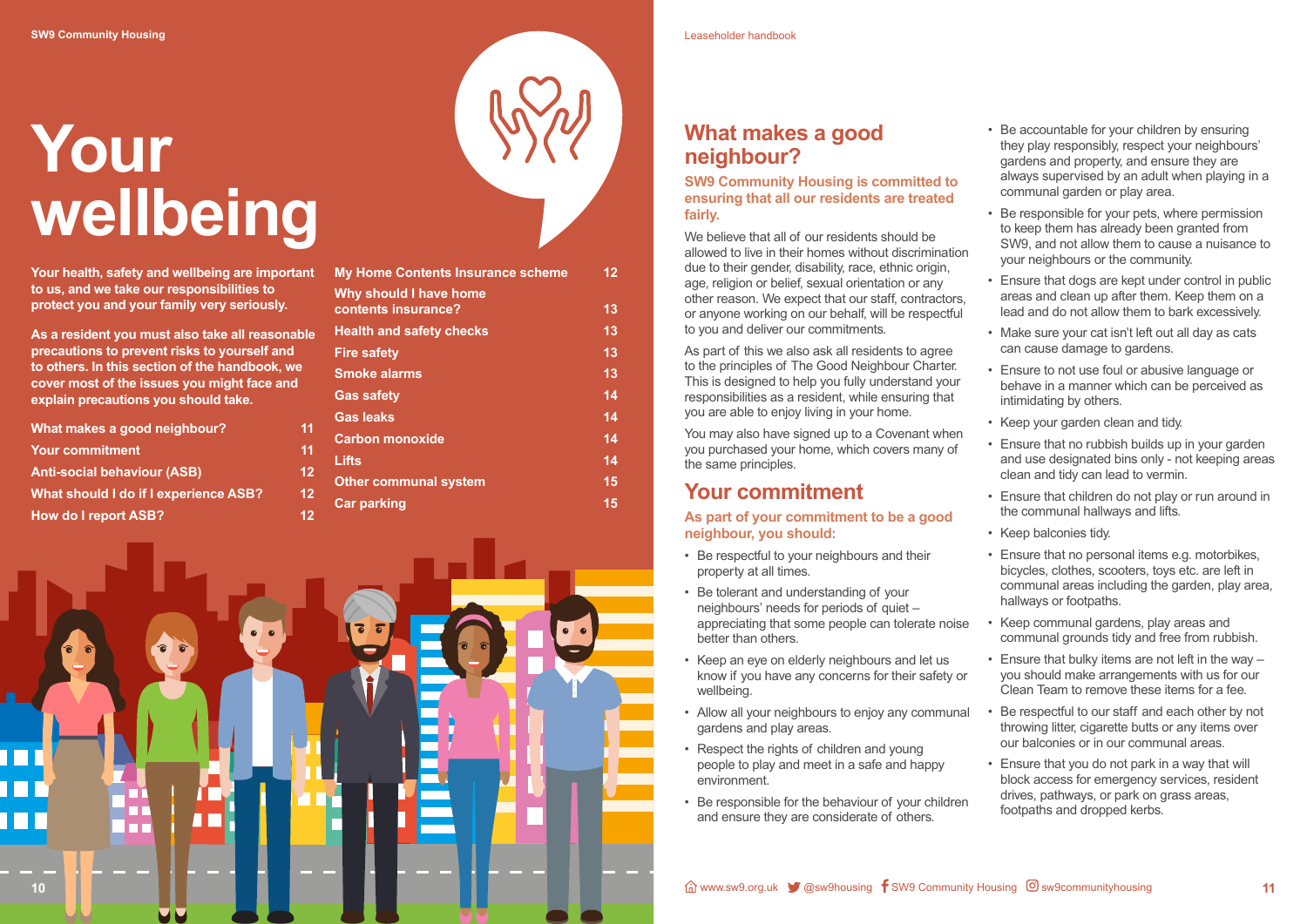# **Your wellbeing**



**Your health, safety and wellbeing are important to us, and we take our responsibilities to protect you and your family very seriously.**

**As a resident you must also take all reasonable precautions to prevent risks to yourself and to others. In this section of the handbook, we cover most of the issues you might face and explain precautions you should take.** 

| What makes a good neighbour?          |    |
|---------------------------------------|----|
| <b>Your commitment</b>                | 11 |
| <b>Anti-social behaviour (ASB)</b>    | 12 |
| What should I do if I experience ASB? | 12 |
| <b>How do I report ASB?</b>           | 12 |

We believe that all of our residents should be allowed to live in their homes without discrimination due to their gender, disability, race, ethnic origin, age, religion or belief, sexual orientation or any other reason. We expect that our staff, contractors, or anyone working on our behalf, will be respectful to you and deliver our commitments.

| <b>My Home Contents Insurance scheme</b>             | 12 |
|------------------------------------------------------|----|
| <b>Why should I have home</b><br>contents insurance? | 13 |
| <b>Health and safety checks</b>                      | 13 |
| <b>Fire safety</b>                                   | 13 |
| <b>Smoke alarms</b>                                  | 13 |
| <b>Gas safety</b>                                    | 14 |
| <b>Gas leaks</b>                                     | 14 |
| <b>Carbon monoxide</b>                               | 14 |
| <b>Lifts</b>                                         | 14 |
| <b>Other communal system</b>                         | 15 |
| <b>Car parking</b>                                   | 15 |

## **What makes a good neighbour?**

#### **SW9 Community Housing is committed to ensuring that all our residents are treated fairly.**

As part of this we also ask all residents to agree to the principles of The Good Neighbour Charter. This is designed to help you fully understand your responsibilities as a resident, while ensuring that you are able to enjoy living in your home.

You may also have signed up to a Covenant when you purchased your home, which covers many of the same principles.

## **Your commitment**

#### **As part of your commitment to be a good neighbour, you should:**

- Be respectful to your neighbours and their property at all times.
- Be tolerant and understanding of your neighbours' needs for periods of quiet – appreciating that some people can tolerate noise better than others. hallways or footpaths. • Keep communal gardens, play areas and communal grounds tidy and free from rubbish.
- Keep an eye on elderly neighbours and let us know if you have any concerns for their safety or wellbeing.
- Allow all your neighbours to enjoy any communal gardens and play areas.
- Respect the rights of children and young people to play and meet in a safe and happy environment.
- Be responsible for the behaviour of your children and ensure they are considerate of others.
- Be accountable for your children by ensuring they play responsibly, respect your neighbours' gardens and property, and ensure they are always supervised by an adult when playing in a communal garden or play area.
- Be responsible for your pets, where permission to keep them has already been granted from SW9, and not allow them to cause a nuisance to your neighbours or the community.
- Ensure that dogs are kept under control in public areas and clean up after them. Keep them on a lead and do not allow them to bark excessively.
- Make sure your cat isn't left out all day as cats can cause damage to gardens.
- Ensure to not use foul or abusive language or behave in a manner which can be perceived as intimidating by others.
- Keep your garden clean and tidy.
- Ensure that no rubbish builds up in your garden and use designated bins only - not keeping areas clean and tidy can lead to vermin.
- Ensure that children do not play or run around in the communal hallways and lifts.
- Keep balconies tidy.
- Ensure that no personal items e.g. motorbikes, bicycles, clothes, scooters, toys etc. are left in communal areas including the garden, play area,
- Ensure that bulky items are not left in the way you should make arrangements with us for our Clean Team to remove these items for a fee.
- Be respectful to our staff and each other by not throwing litter, cigarette butts or any items over our balconies or in our communal areas.
- Ensure that you do not park in a way that will block access for emergency services, resident drives, pathways, or park on grass areas, footpaths and dropped kerbs.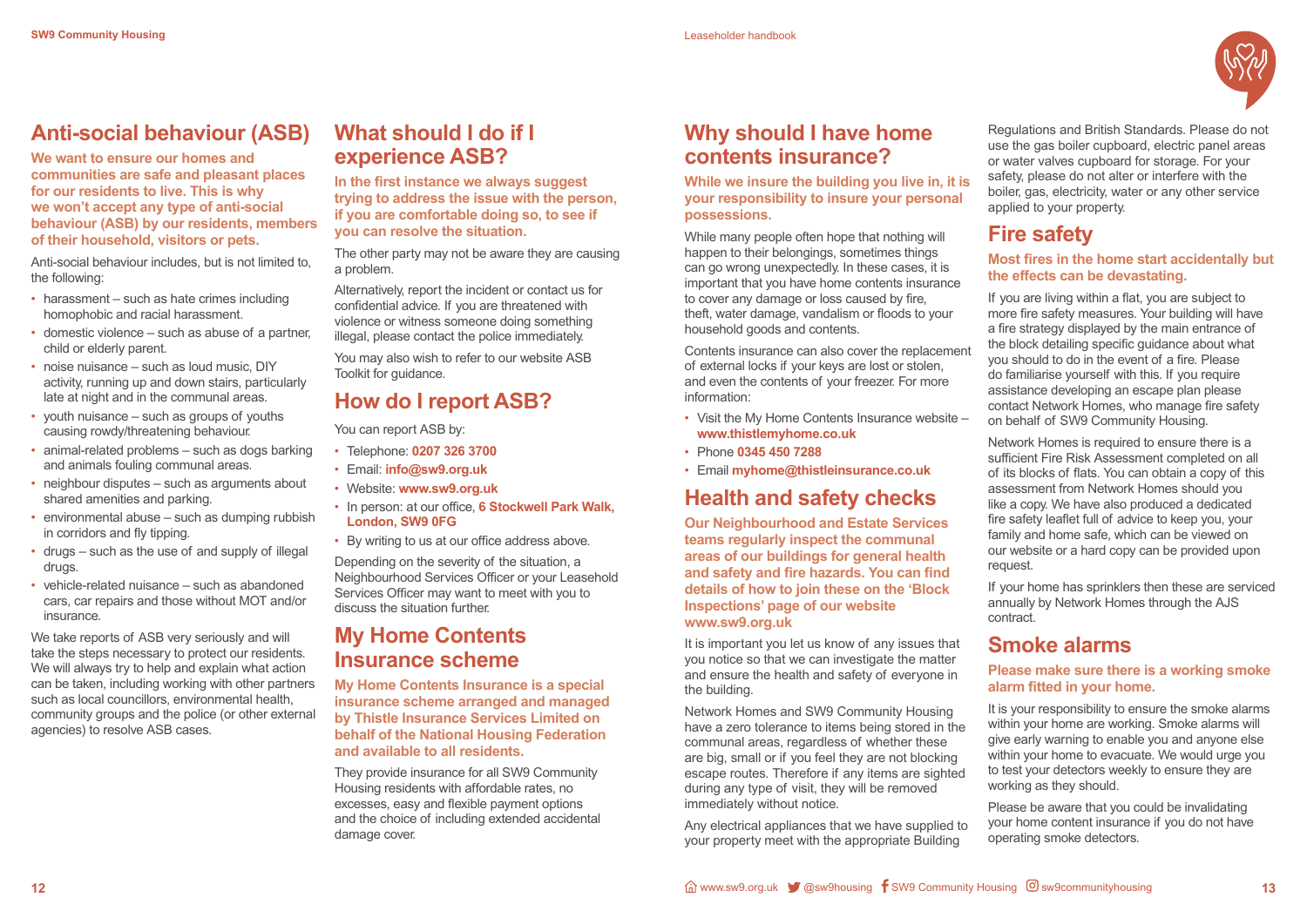

## **Anti-social behaviour (ASB)**

**We want to ensure our homes and communities are safe and pleasant places for our residents to live. This is why we won't accept any type of anti-social behaviour (ASB) by our residents, members of their household, visitors or pets.**

Anti-social behaviour includes, but is not limited to, the following:

- harassment such as hate crimes including homophobic and racial harassment.
- domestic violence such as abuse of a partner, child or elderly parent.
- noise nuisance such as loud music, DIY activity, running up and down stairs, particularly late at night and in the communal areas.
- youth nuisance such as groups of youths causing rowdy/threatening behaviour.
- animal-related problems such as dogs barking and animals fouling communal areas.
- neighbour disputes such as arguments about shared amenities and parking.
- environmental abuse such as dumping rubbish in corridors and fly tipping.
- drugs such as the use of and supply of illegal drugs.
- vehicle-related nuisance such as abandoned cars, car repairs and those without MOT and/or insurance.

We take reports of ASB very seriously and will take the steps necessary to protect our residents. We will always try to help and explain what action can be taken, including working with other partners such as local councillors, environmental health, community groups and the police (or other external agencies) to resolve ASB cases.

## **What should I do if I experience ASB?**

**In the first instance we always suggest trying to address the issue with the person, if you are comfortable doing so, to see if you can resolve the situation.** 

The other party may not be aware they are causing a problem.

Alternatively, report the incident or contact us for confidential advice. If you are threatened with violence or witness someone doing something illegal, please contact the police immediately.

You may also wish to refer to our website ASB Toolkit for guidance.

## **How do I report ASB?**

You can report ASB by:

- Telephone: **0207 326 3700**
- Email: **info@sw9.org.uk**
- Website: **www.sw9.org.uk**
- In person: at our office, **6 Stockwell Park Walk, London, SW9 0FG**
- By writing to us at our office address above.

Depending on the severity of the situation, a Neighbourhood Services Officer or your Leasehold Services Officer may want to meet with you to discuss the situation further.

## **My Home Contents Insurance scheme**

**My Home Contents Insurance is a special insurance scheme arranged and managed by Thistle Insurance Services Limited on behalf of the National Housing Federation and available to all residents.** 

They provide insurance for all SW9 Community Housing residents with affordable rates, no excesses, easy and flexible payment options and the choice of including extended accidental damage cover.

## **Why should I have home contents insurance?**

**While we insure the building you live in, it is your responsibility to insure your personal possessions.** 

While many people often hope that nothing will happen to their belongings, sometimes things can go wrong unexpectedly. In these cases, it is important that you have home contents insurance to cover any damage or loss caused by fire, theft, water damage, vandalism or floods to your household goods and contents.

Contents insurance can also cover the replacement of external locks if your keys are lost or stolen, and even the contents of your freezer. For more information:

- Visit the My Home Contents Insurance website **www.thistlemyhome.co.uk**
- Phone **0345 450 7288**
- Email **myhome@thistleinsurance.co.uk**

## **Health and safety checks**

**Our Neighbourhood and Estate Services teams regularly inspect the communal areas of our buildings for general health and safety and fire hazards. You can find details of how to join these on the 'Block Inspections' page of our website www.sw9.org.uk**

It is important you let us know of any issues that you notice so that we can investigate the matter and ensure the health and safety of everyone in the building.

Network Homes and SW9 Community Housing have a zero tolerance to items being stored in the communal areas, regardless of whether these are big, small or if you feel they are not blocking escape routes. Therefore if any items are sighted during any type of visit, they will be removed immediately without notice.

Any electrical appliances that we have supplied to your property meet with the appropriate Building

Regulations and British Standards. Please do not use the gas boiler cupboard, electric panel areas or water valves cupboard for storage. For your safety, please do not alter or interfere with the boiler, gas, electricity, water or any other service applied to your property.

## **Fire safety**

#### **Most fires in the home start accidentally but the effects can be devastating.**

If you are living within a flat, you are subject to more fire safety measures. Your building will have a fire strategy displayed by the main entrance of the block detailing specific guidance about what you should to do in the event of a fire. Please do familiarise yourself with this. If you require assistance developing an escape plan please contact Network Homes, who manage fire safety on behalf of SW9 Community Housing.

Network Homes is required to ensure there is a sufficient Fire Risk Assessment completed on all of its blocks of flats. You can obtain a copy of this assessment from Network Homes should you like a copy. We have also produced a dedicated fire safety leaflet full of advice to keep you, your family and home safe, which can be viewed on our website or a hard copy can be provided upon request.

If your home has sprinklers then these are serviced annually by Network Homes through the AJS contract.

## **Smoke alarms**

#### **Please make sure there is a working smoke alarm fitted in your home.**

It is your responsibility to ensure the smoke alarms within your home are working. Smoke alarms will give early warning to enable you and anyone else within your home to evacuate. We would urge you to test your detectors weekly to ensure they are working as they should.

Please be aware that you could be invalidating your home content insurance if you do not have operating smoke detectors.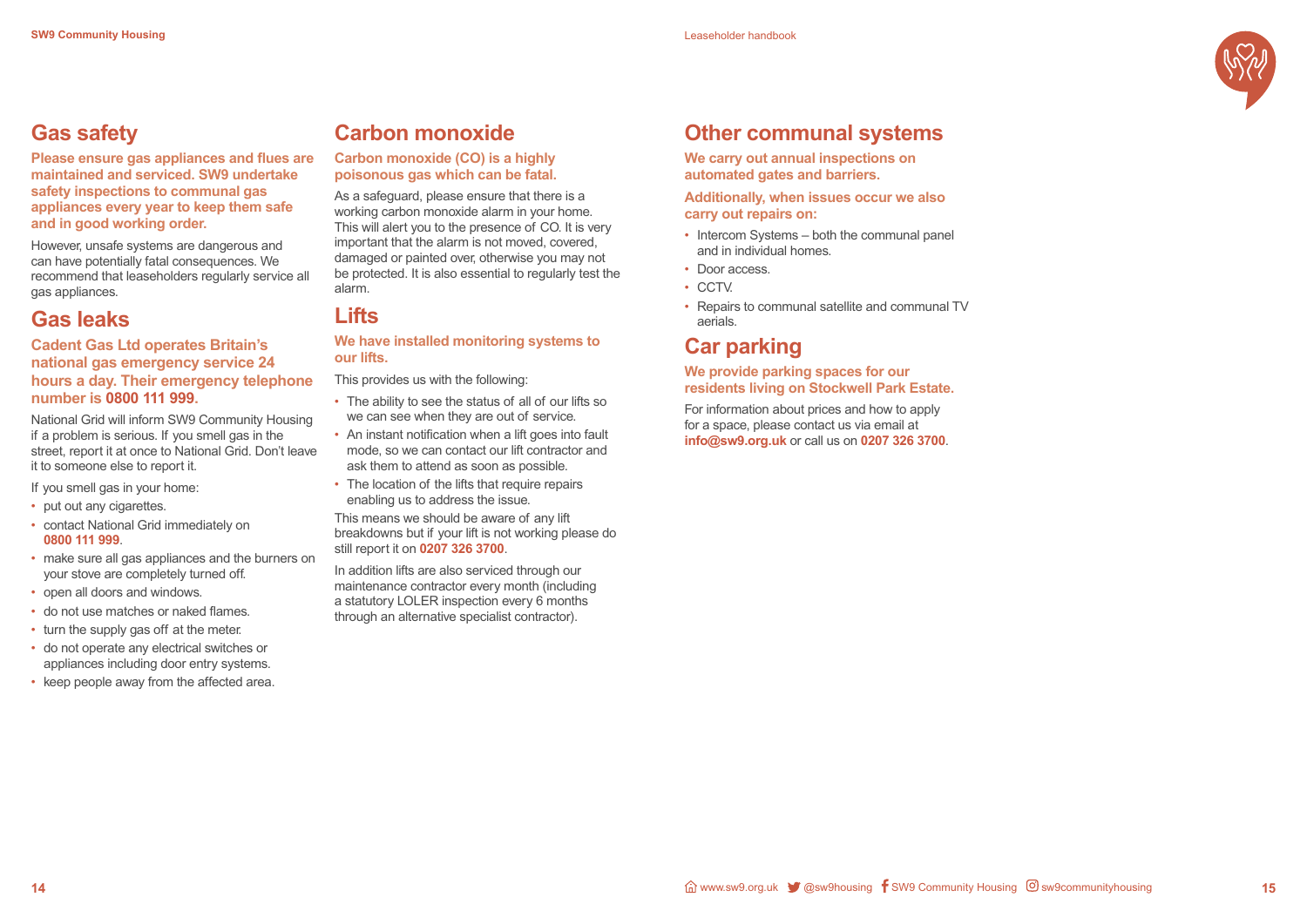

## **Gas safety**

**Please ensure gas appliances and flues are maintained and serviced. SW9 undertake safety inspections to communal gas appliances every year to keep them safe and in good working order.** 

However, unsafe systems are dangerous and can have potentially fatal consequences. We recommend that leaseholders regularly service all gas appliances.

## **Gas leaks**

#### **Cadent Gas Ltd operates Britain's national gas emergency service 24 hours a day. Their emergency telephone number is 0800 111 999.**

- put out any cigarettes.
- contact National Grid immediately on **0800 111 999**.
- make sure all gas appliances and the burners on your stove are completely turned off.
- open all doors and windows.
- do not use matches or naked flames.
- turn the supply gas off at the meter.
- do not operate any electrical switches or appliances including door entry systems.
- keep people away from the affected area.

National Grid will inform SW9 Community Housing if a problem is serious. If you smell gas in the street, report it at once to National Grid. Don't leave it to someone else to report it.

If you smell gas in your home:

- The ability to see the status of all of our lifts so we can see when they are out of service.
- An instant notification when a lift goes into fault mode, so we can contact our lift contractor and ask them to attend as soon as possible.
- The location of the lifts that require repairs enabling us to address the issue.

## **Carbon monoxide**

#### **Carbon monoxide (CO) is a highly poisonous gas which can be fatal.**

- Intercom Systems both the communal panel and in individual homes.
- Door access.
- CCTV.
- Repairs to communal satellite and communal TV aerials.

As a safeguard, please ensure that there is a working carbon monoxide alarm in your home. This will alert you to the presence of CO. It is very important that the alarm is not moved, covered, damaged or painted over, otherwise you may not be protected. It is also essential to regularly test the alarm.

## **Lifts**

#### **We have installed monitoring systems to our lifts.**

This provides us with the following:

This means we should be aware of any lift breakdowns but if your lift is not working please do still report it on **0207 326 3700**.

In addition lifts are also serviced through our maintenance contractor every month (including a statutory LOLER inspection every 6 months through an alternative specialist contractor).

## **Other communal systems**

**We carry out annual inspections on automated gates and barriers.**

**Additionally, when issues occur we also carry out repairs on:**

## **Car parking**

#### **We provide parking spaces for our residents living on Stockwell Park Estate.**

For information about prices and how to apply for a space, please contact us via email at **info@sw9.org.uk** or call us on **0207 326 3700**.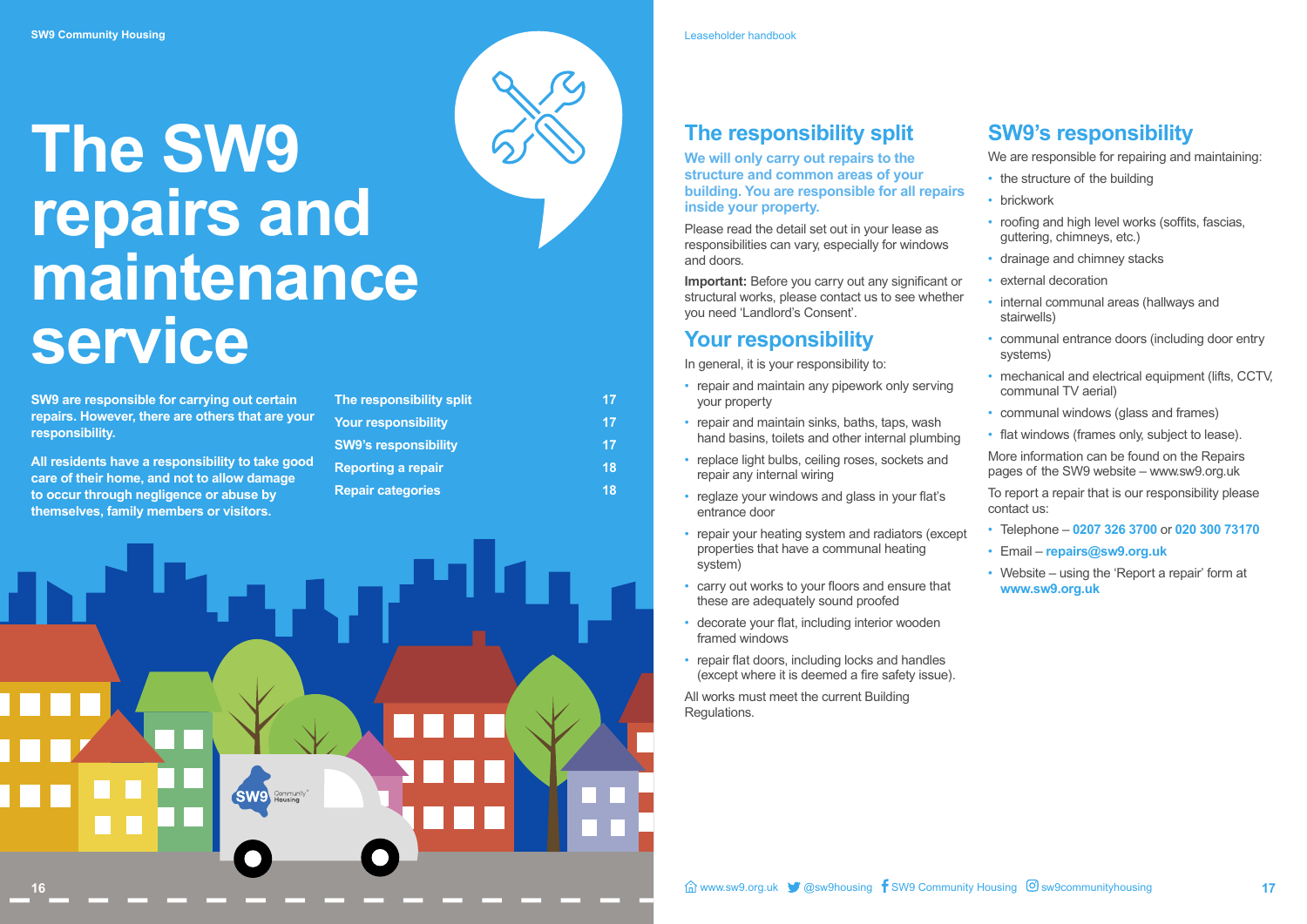## **The SW9 repairs and maintenance service**

**SW9 are responsible for carrying out certain repairs. However, there are others that are your responsibility.**

**All residents have a responsibility to take good care of their home, and not to allow damage to occur through negligence or abuse by themselves, family members or visitors.**

| The responsibility split    | 17 |
|-----------------------------|----|
| <b>Your responsibility</b>  | 17 |
| <b>SW9's responsibility</b> | 17 |
| <b>Reporting a repair</b>   | 18 |
| <b>Repair categories</b>    | 18 |
|                             |    |



## **The responsibility split**

**We will only carry out repairs to the structure and common areas of your building. You are responsible for all repairs inside your property.**

Please read the detail set out in your lease as responsibilities can vary, especially for windows and doors.

- repair and maintain any pipework only serving your property
- repair and maintain sinks, baths, taps, wash hand basins, toilets and other internal plumbing
- replace light bulbs, ceiling roses, sockets and repair any internal wiring
- reglaze your windows and glass in your flat's entrance door
- repair your heating system and radiators (except properties that have a communal heating system)
- carry out works to your floors and ensure that these are adequately sound proofed
- decorate your flat, including interior wooden framed windows
- repair flat doors, including locks and handles (except where it is deemed a fire safety issue).

**Important:** Before you carry out any significant or structural works, please contact us to see whether you need 'Landlord's Consent'.

## **Your responsibility**

In general, it is your responsibility to:

All works must meet the current Building Regulations.

## **SW9's responsibility**

We are responsible for repairing and maintaining:

- the structure of the building
- brickwork
- roofing and high level works (soffits, fascias, guttering, chimneys, etc.)
- drainage and chimney stacks
- external decoration
- internal communal areas (hallways and stairwells)
- communal entrance doors (including door entry systems)
- mechanical and electrical equipment (lifts, CCTV, communal TV aerial)
- communal windows (glass and frames)
- flat windows (frames only, subject to lease).

More information can be found on the Repairs pages of the SW9 website – www.sw9.org.uk

To report a repair that is our responsibility please contact us:

- Telephone **0207 326 3700** or **020 300 73170**
- Email **repairs@sw9.org.uk**
- Website using the 'Report a repair' form at **www.sw9.org.uk**

Leaseholder handbook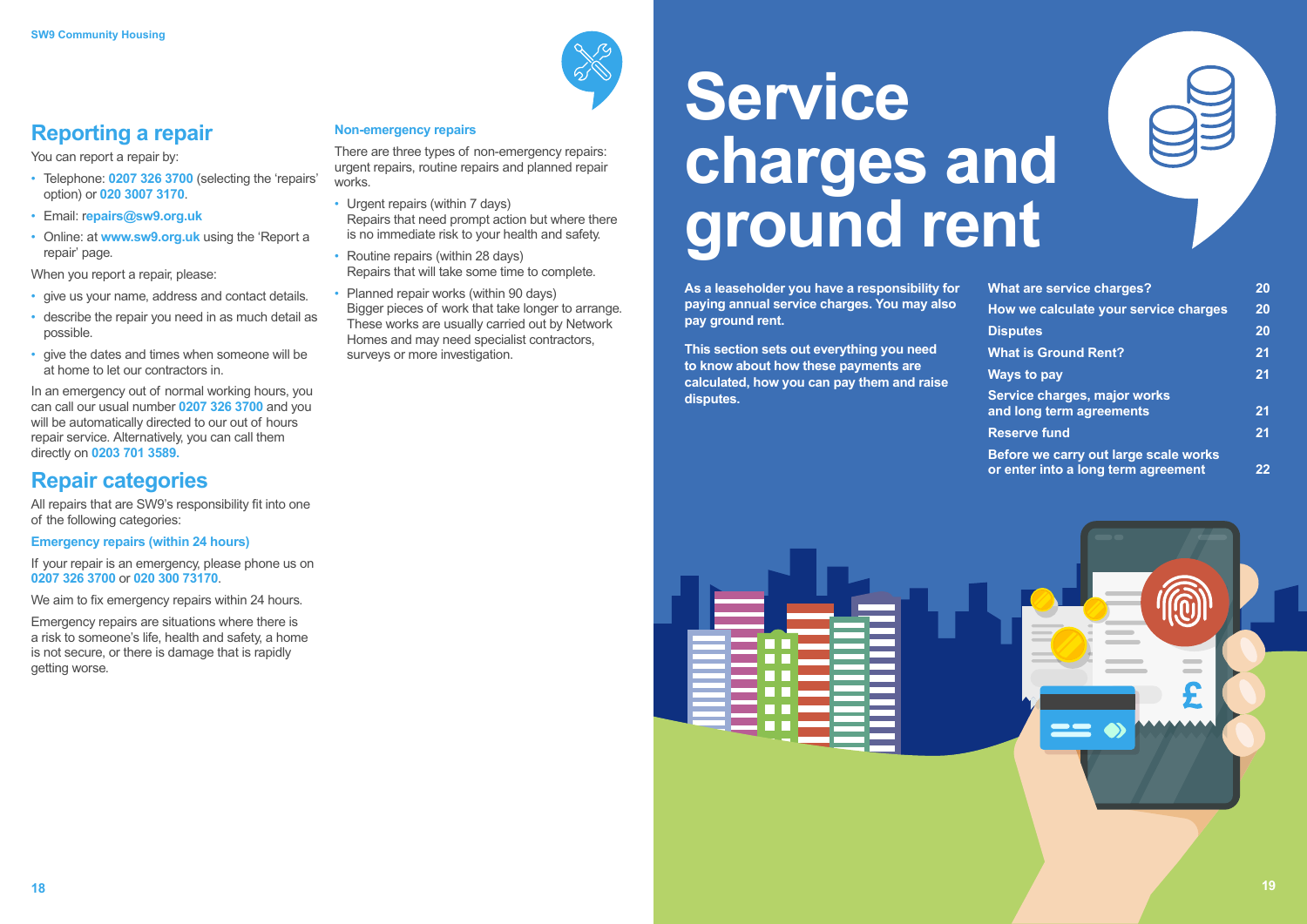## **Reporting a repair**

You can report a repair by:

- Telephone: **0207 326 3700** (selecting the 'repairs' option) or **020 3007 3170**.
- Email: r**epairs@sw9.org.uk**
- Online: at **www.sw9.org.uk** using the 'Report a repair' page.

When you report a repair, please:

- give us your name, address and contact details.
- describe the repair you need in as much detail as possible.
- give the dates and times when someone will be at home to let our contractors in.

In an emergency out of normal working hours, you can call our usual number **0207 326 3700** and you will be automatically directed to our out of hours repair service. Alternatively, you can call them directly on **0203 701 3589.**

## **Repair categories**

All repairs that are SW9's responsibility fit into one of the following categories:

**Emergency repairs (within 24 hours)**

If your repair is an emergency, please phone us on **0207 326 3700** or **020 300 73170**.

We aim to fix emergency repairs within 24 hours.

Emergency repairs are situations where there is a risk to someone's life, health and safety, a home is not secure, or there is damage that is rapidly getting worse.

#### **Non-emergency repairs**

There are three types of non-emergency repairs: urgent repairs, routine repairs and planned repair works.

- Urgent repairs (within 7 days) Repairs that need prompt action but where there is no immediate risk to your health and safety.
- Routine repairs (within 28 days) Repairs that will take some time to complete.
- Planned repair works (within 90 days) Bigger pieces of work that take longer to arrange. These works are usually carried out by Network Homes and may need specialist contractors, surveys or more investigation.

## **Service charges and ground rent**

**As a leaseholder you have a responsibility for paying annual service charges. You may also pay ground rent.** 

**This section sets out everything you need to know about how these payments are calculated, how you can pay them and raise disputes.**



| <b>What are service charges?</b>                                             | 20      |
|------------------------------------------------------------------------------|---------|
| How we calculate your service charges                                        | 20      |
| <b>Disputes</b>                                                              | 20      |
| <b>What is Ground Rent?</b>                                                  | 21      |
| <b>Ways to pay</b>                                                           | 21      |
| Service charges, major works<br>and long term agreements                     | 21      |
| <b>Reserve fund</b>                                                          | 21      |
| Before we carry out large scale works<br>or enter into a long term agreement | $22 \,$ |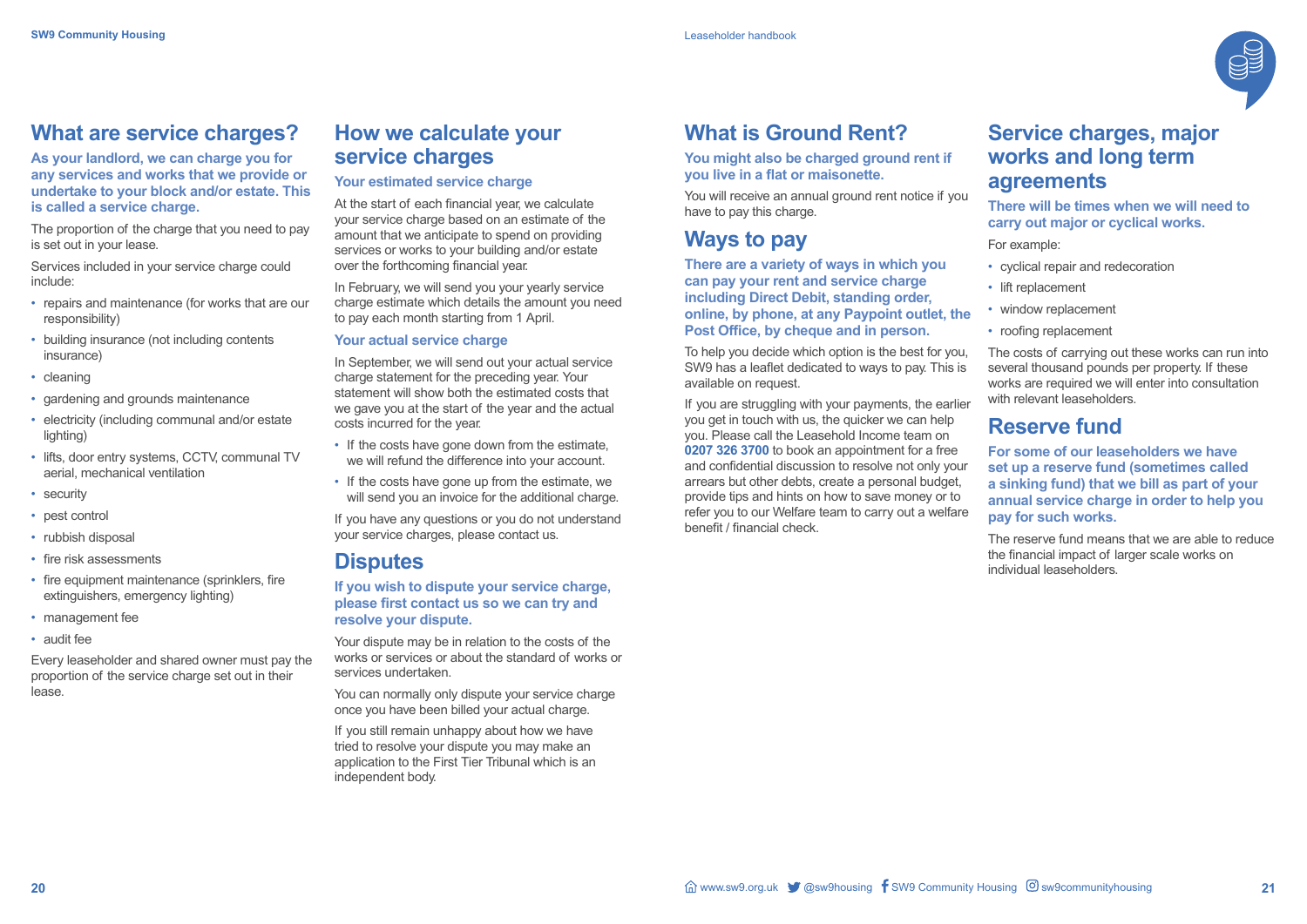### **What are service charges?**

**As your landlord, we can charge you for any services and works that we provide or undertake to your block and/or estate. This is called a service charge.** 

The proportion of the charge that you need to pay is set out in your lease.

Services included in your service charge could include:

- repairs and maintenance (for works that are our responsibility)
- building insurance (not including contents insurance)
- cleaning
- gardening and grounds maintenance
- electricity (including communal and/or estate lighting)
- lifts, door entry systems, CCTV, communal TV aerial, mechanical ventilation
- security
- pest control
- rubbish disposal
- fire risk assessments
- fire equipment maintenance (sprinklers, fire extinguishers, emergency lighting)
- management fee
- audit fee

Every leaseholder and shared owner must pay the proportion of the service charge set out in their lease.

## **How we calculate your service charges**

#### **Your estimated service charge**

At the start of each financial year, we calculate your service charge based on an estimate of the amount that we anticipate to spend on providing services or works to your building and/or estate over the forthcoming financial year.

In February, we will send you your yearly service charge estimate which details the amount you need to pay each month starting from 1 April.

#### **Your actual service charge**

In September, we will send out your actual service charge statement for the preceding year. Your statement will show both the estimated costs that we gave you at the start of the year and the actual costs incurred for the year.

- If the costs have gone down from the estimate, we will refund the difference into your account.
- If the costs have gone up from the estimate, we will send you an invoice for the additional charge.

The costs of carrying out these works can run into several thousand pounds per property. If these works are required we will enter into consultation with relevant leaseholders.

If you have any questions or you do not understand your service charges, please contact us.

### **Disputes**

#### **If you wish to dispute your service charge, please first contact us so we can try and resolve your dispute.**

Your dispute may be in relation to the costs of the works or services or about the standard of works or services undertaken.

You can normally only dispute your service charge once you have been billed your actual charge.

If you still remain unhappy about how we have tried to resolve your dispute you may make an application to the First Tier Tribunal which is an independent body.



## **What is Ground Rent?**

#### **You might also be charged ground rent if you live in a flat or maisonette.**

You will receive an annual ground rent notice if you have to pay this charge.

## **Ways to pay**

**There are a variety of ways in which you can pay your rent and service charge including Direct Debit, standing order, online, by phone, at any Paypoint outlet, the Post Office, by cheque and in person.** 

To help you decide which option is the best for you, SW9 has a leaflet dedicated to ways to pay. This is available on request.

If you are struggling with your payments, the earlier you get in touch with us, the quicker we can help you. Please call the Leasehold Income team on **0207 326 3700** to book an appointment for a free and confidential discussion to resolve not only your arrears but other debts, create a personal budget, provide tips and hints on how to save money or to refer you to our Welfare team to carry out a welfare benefit / financial check.

## **Service charges, major works and long term agreements**

#### **There will be times when we will need to carry out major or cyclical works.**

For example:

- cyclical repair and redecoration
- lift replacement
- window replacement
- roofing replacement

### **Reserve fund**

**For some of our leaseholders we have set up a reserve fund (sometimes called a sinking fund) that we bill as part of your annual service charge in order to help you pay for such works.** 

The reserve fund means that we are able to reduce the financial impact of larger scale works on individual leaseholders.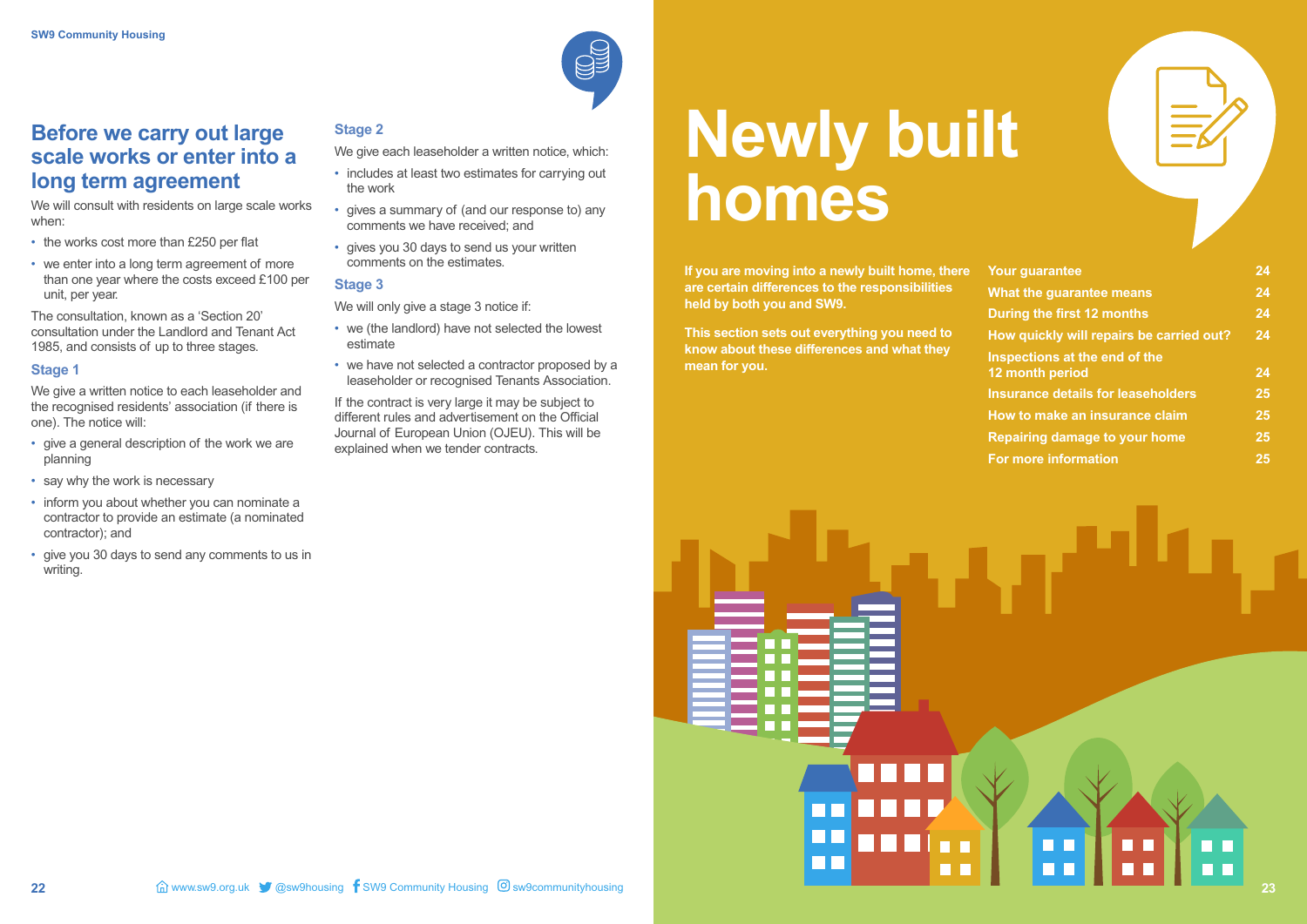## **Before we carry out large scale works or enter into a long term agreement**

We will consult with residents on large scale works when:

- the works cost more than £250 per flat
- we enter into a long term agreement of more than one year where the costs exceed £100 per unit, per year.

We give a written notice to each leaseholder and the recognised residents' association (if there is one). The notice will:

The consultation, known as a 'Section 20' consultation under the Landlord and Tenant Act 1985, and consists of up to three stages.

#### **Stage 1**

- give a general description of the work we are planning
- say why the work is necessary
- inform you about whether you can nominate a contractor to provide an estimate (a nominated contractor); and
- give you 30 days to send any comments to us in writing.

If the contract is very large it may be subject to different rules and advertisement on the Official Journal of European Union (OJEU). This will be explained when we tender contracts.

#### **Stage 2**

- We give each leaseholder a written notice, which:
- includes at least two estimates for carrying out the work
- gives a summary of (and our response to) any comments we have received; and
- gives you 30 days to send us your written comments on the estimates.

#### **Stage 3**

We will only give a stage 3 notice if:

- we (the landlord) have not selected the lowest estimate
- we have not selected a contractor proposed by a leaseholder or recognised Tenants Association.

## **Newly built homes**

**If you are moving into a newly built home, there are certain differences to the responsibilities held by both you and SW9.** 

**This section sets out everything you need to know about these differences and what they mean for you.** 

ПF

| <b>Your guarantee</b>                            | 24 |
|--------------------------------------------------|----|
| <b>What the guarantee means</b>                  | 24 |
| During the first 12 months                       | 24 |
| How quickly will repairs be carried out?         | 24 |
| Inspections at the end of the<br>12 month period | 24 |
| <b>Insurance details for leaseholders</b>        | 25 |
| How to make an insurance claim                   | 25 |
| <b>Repairing damage to your home</b>             | 25 |
| <b>For more information</b>                      | 25 |

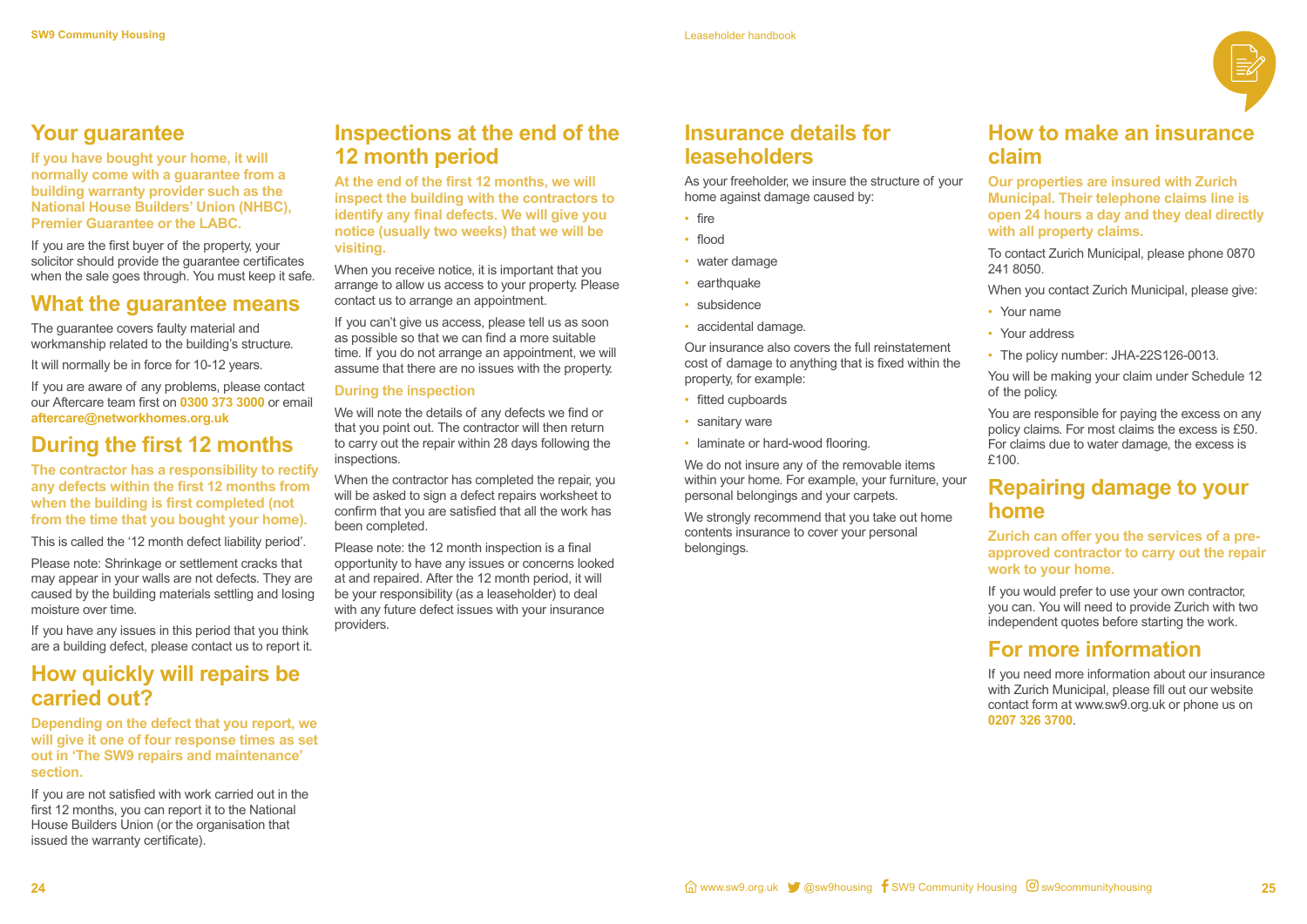

## **Your guarantee**

**If you have bought your home, it will normally come with a guarantee from a building warranty provider such as the National House Builders' Union (NHBC), Premier Guarantee or the LABC.** 

If you are the first buyer of the property, your solicitor should provide the guarantee certificates when the sale goes through. You must keep it safe.

### **What the guarantee means**

The guarantee covers faulty material and workmanship related to the building's structure.

It will normally be in force for 10-12 years.

If you are aware of any problems, please contact our Aftercare team first on **0300 373 3000** or email **aftercare@networkhomes.org.uk** 

## **During the first 12 months**

**The contractor has a responsibility to rectify any defects within the first 12 months from when the building is first completed (not from the time that you bought your home).** 

This is called the '12 month defect liability period'.

Please note: Shrinkage or settlement cracks that may appear in your walls are not defects. They are caused by the building materials settling and losing moisture over time.

If you can't give us access, please tell us as soon as possible so that we can find a more suitable time. If you do not arrange an appointment, we will assume that there are no issues with the property.

If you have any issues in this period that you think are a building defect, please contact us to report it.

## **How quickly will repairs be carried out?**

**Depending on the defect that you report, we will give it one of four response times as set out in 'The SW9 repairs and maintenance' section.**

If you are not satisfied with work carried out in the first 12 months, you can report it to the National House Builders Union (or the organisation that issued the warranty certificate).

## **Inspections at the end of the 12 month period**

**At the end of the first 12 months, we will inspect the building with the contractors to identify any final defects. We will give you notice (usually two weeks) that we will be visiting.**

> We strongly recommend that you take out home contents insurance to cover your personal belongings.

When you receive notice, it is important that you arrange to allow us access to your property. Please contact us to arrange an appointment.

- Your name
- Your address
- The policy number: JHA-22S126-0013.

#### **During the inspection**

We will note the details of any defects we find or that you point out. The contractor will then return to carry out the repair within 28 days following the inspections.

When the contractor has completed the repair, you will be asked to sign a defect repairs worksheet to confirm that you are satisfied that all the work has been completed.

Please note: the 12 month inspection is a final opportunity to have any issues or concerns looked at and repaired. After the 12 month period, it will be your responsibility (as a leaseholder) to deal with any future defect issues with your insurance providers.

## **Insurance details for leaseholders**

As your freeholder, we insure the structure of your home against damage caused by:

- fire
- flood
- water damage
- earthquake
- subsidence
- accidental damage.

Our insurance also covers the full reinstatement cost of damage to anything that is fixed within the property, for example:

- fitted cupboards
- sanitary ware
- laminate or hard-wood flooring.

We do not insure any of the removable items within your home. For example, your furniture, your personal belongings and your carpets.

### **How to make an insurance claim**

**Our properties are insured with Zurich Municipal. Their telephone claims line is open 24 hours a day and they deal directly with all property claims.**

To contact Zurich Municipal, please phone 0870 241 8050.

When you contact Zurich Municipal, please give:

You will be making your claim under Schedule 12 of the policy.

You are responsible for paying the excess on any policy claims. For most claims the excess is £50. For claims due to water damage, the excess is £100.

## **Repairing damage to your home**

**Zurich can offer you the services of a preapproved contractor to carry out the repair work to your home.**

If you would prefer to use your own contractor, you can. You will need to provide Zurich with two independent quotes before starting the work.

### **For more information**

If you need more information about our insurance with Zurich Municipal, please fill out our website contact form at www.sw9.org.uk or phone us on **0207 326 3700**.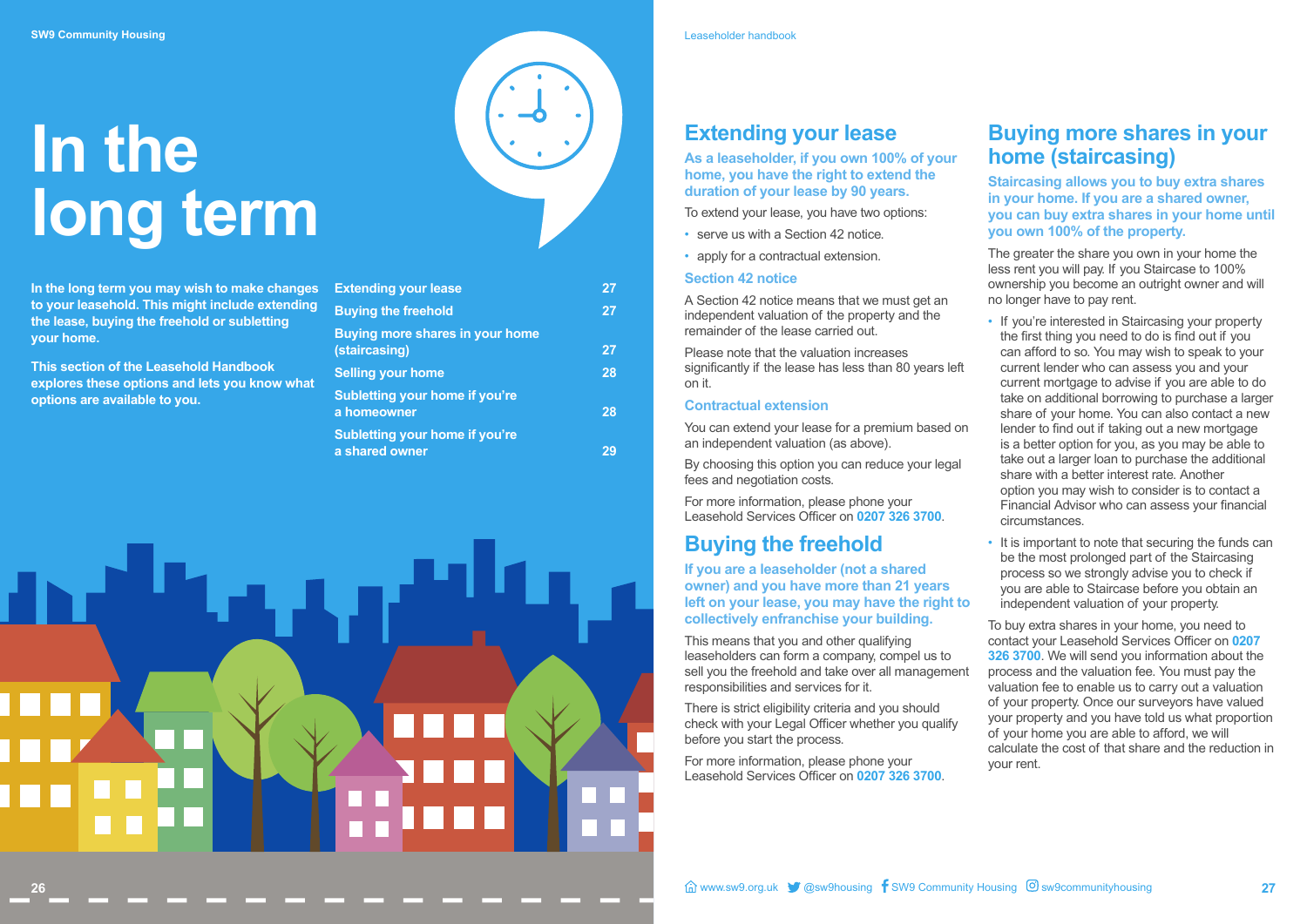## **In the long term**

**In the long term you may wish to make changes to your leasehold. This might include extending the lease, buying the freehold or subletting your home.** 

**This section of the Leasehold Handbook explores these options and lets you know what options are available to you.** 

| <b>Extending your lease</b>                             | 27 |
|---------------------------------------------------------|----|
| <b>Buying the freehold</b>                              | 27 |
| <b>Buying more shares in your home</b><br>(staircasing) | 27 |
| <b>Selling your home</b>                                | 28 |
| <b>Subletting your home if you're</b><br>a homeowner    | 28 |
| <b>Subletting your home if you're</b><br>a shared owner |    |



## **Extending your lease**

**As a leaseholder, if you own 100% of your home, you have the right to extend the duration of your lease by 90 years.**

To extend your lease, you have two options:

- serve us with a Section 42 notice.
- apply for a contractual extension.

#### **Section 42 notice**

A Section 42 notice means that we must get an independent valuation of the property and the remainder of the lease carried out.

Please note that the valuation increases significantly if the lease has less than 80 years left on it.

#### **Contractual extension**

You can extend your lease for a premium based on an independent valuation (as above).

By choosing this option you can reduce your legal fees and negotiation costs.

For more information, please phone your Leasehold Services Officer on **0207 326 3700**.

## **Buying the freehold**

**If you are a leaseholder (not a shared owner) and you have more than 21 years left on your lease, you may have the right to collectively enfranchise your building.** 

This means that you and other qualifying leaseholders can form a company, compel us to sell you the freehold and take over all management responsibilities and services for it.

There is strict eligibility criteria and you should check with your Legal Officer whether you qualify before you start the process.

For more information, please phone your Leasehold Services Officer on **0207 326 3700**.

## **Buying more shares in your home (staircasing)**

**Staircasing allows you to buy extra shares in your home. If you are a shared owner, you can buy extra shares in your home until you own 100% of the property.** 

The greater the share you own in your home the less rent you will pay. If you Staircase to 100% ownership you become an outright owner and will no longer have to pay rent.

- If you're interested in Staircasing your property the first thing you need to do is find out if you can afford to so. You may wish to speak to your current lender who can assess you and your current mortgage to advise if you are able to do take on additional borrowing to purchase a larger share of your home. You can also contact a new lender to find out if taking out a new mortgage is a better option for you, as you may be able to take out a larger loan to purchase the additional share with a better interest rate. Another option you may wish to consider is to contact a Financial Advisor who can assess your financial circumstances.
- It is important to note that securing the funds can be the most prolonged part of the Staircasing process so we strongly advise you to check if you are able to Staircase before you obtain an independent valuation of your property.

To buy extra shares in your home, you need to contact your Leasehold Services Officer on **0207 326 3700**. We will send you information about the process and the valuation fee. You must pay the valuation fee to enable us to carry out a valuation of your property. Once our surveyors have valued your property and you have told us what proportion of your home you are able to afford, we will calculate the cost of that share and the reduction in your rent.

Leaseholder handbook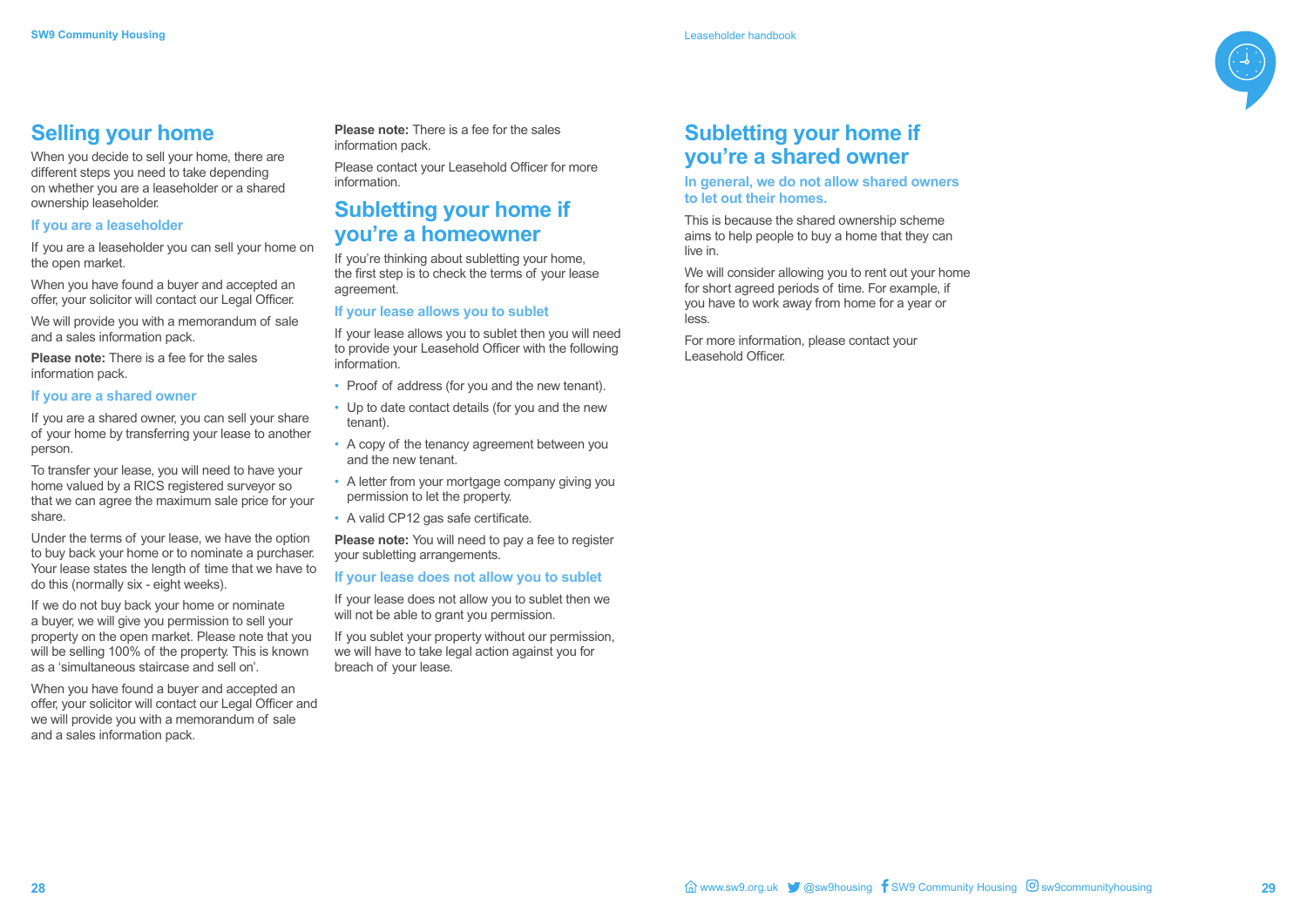

## **Selling your home**

When you decide to sell your home, there are different steps you need to take depending on whether you are a leaseholder or a shared ownership leaseholder.

#### **If you are a leaseholder**

If you are a leaseholder you can sell your home on the open market.

When you have found a buyer and accepted an offer, your solicitor will contact our Legal Officer.

We will provide you with a memorandum of sale and a sales information pack.

**Please note:** There is a fee for the sales information pack.

#### **If you are a shared owner**

If you are a shared owner, you can sell your share of your home by transferring your lease to another person.

To transfer your lease, you will need to have your home valued by a RICS registered surveyor so that we can agree the maximum sale price for your share.

Under the terms of your lease, we have the option to buy back your home or to nominate a purchaser. Your lease states the length of time that we have to do this (normally six - eight weeks).

If we do not buy back your home or nominate a buyer, we will give you permission to sell your property on the open market. Please note that you will be selling 100% of the property. This is known as a 'simultaneous staircase and sell on'.

When you have found a buyer and accepted an offer, your solicitor will contact our Legal Officer and we will provide you with a memorandum of sale and a sales information pack.

We will consider allowing you to rent out your home for short agreed periods of time. For example, if you have to work away from home for a year or less.

**Please note:** There is a fee for the sales information pack.

Please contact your Leasehold Officer for more information.

## **Subletting your home if you're a homeowner**

If you're thinking about subletting your home, the first step is to check the terms of your lease agreement.

#### **If your lease allows you to sublet**

If your lease allows you to sublet then you will need to provide your Leasehold Officer with the following information.

- Proof of address (for you and the new tenant).
- Up to date contact details (for you and the new tenant).
- A copy of the tenancy agreement between you and the new tenant.
- A letter from your mortgage company giving you permission to let the property.
- A valid CP12 gas safe certificate.

**Please note:** You will need to pay a fee to register your subletting arrangements.

#### **If your lease does not allow you to sublet**

If your lease does not allow you to sublet then we will not be able to grant you permission.

If you sublet your property without our permission, we will have to take legal action against you for breach of your lease.



## **Subletting your home if you're a shared owner**

#### **In general, we do not allow shared owners to let out their homes.**

This is because the shared ownership scheme aims to help people to buy a home that they can live in.

For more information, please contact your Leasehold Officer.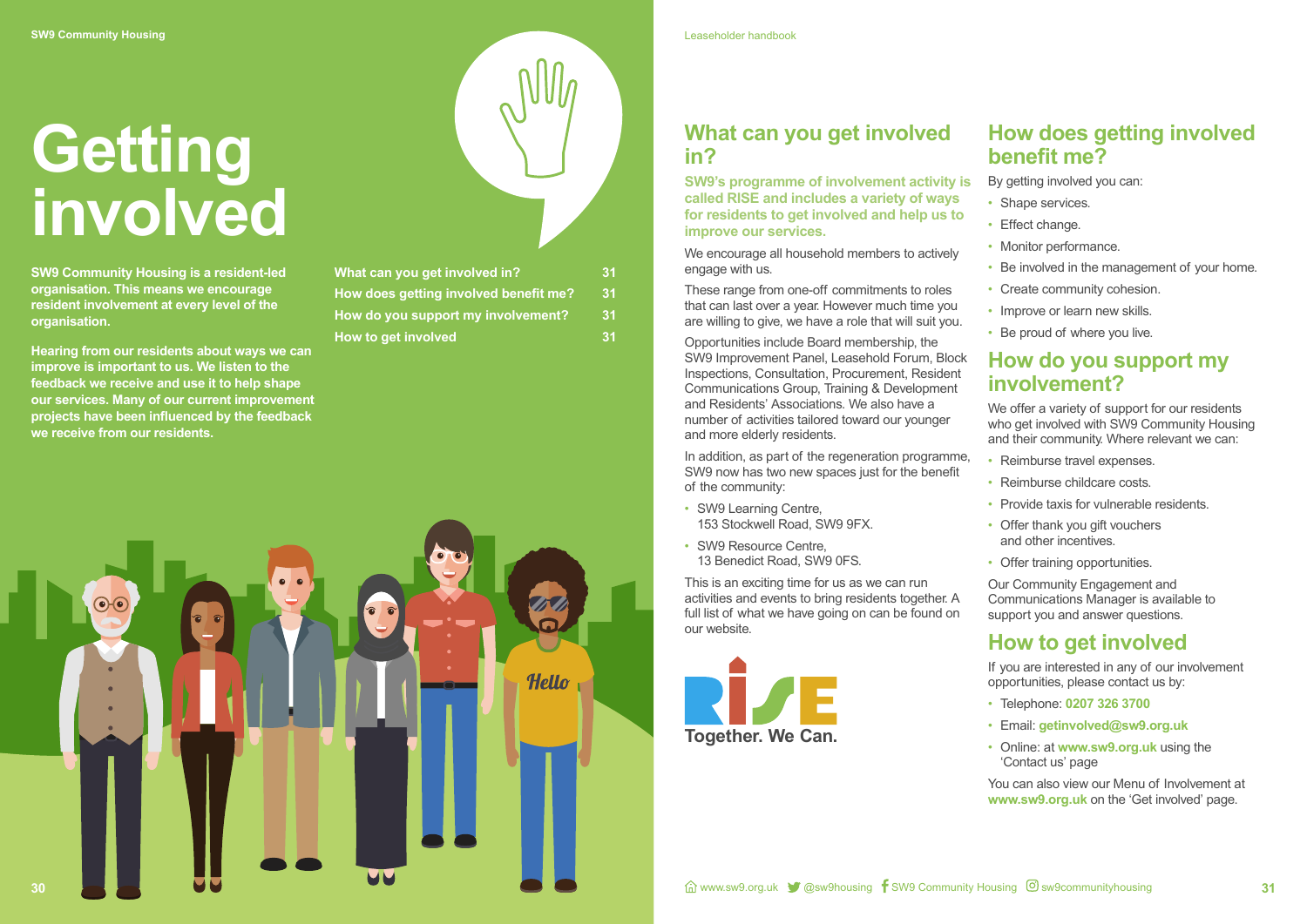# **Getting involved**



**SW9 Community Housing is a resident-led organisation. This means we encourage resident involvement at every level of the organisation.**

**Hearing from our residents about ways we can improve is important to us. We listen to the feedback we receive and use it to help shape our services. Many of our current improvement projects have been influenced by the feedback we receive from our residents.**

| My |  |
|----|--|
|    |  |

| What can you get involved in?         |    |
|---------------------------------------|----|
| How does getting involved benefit me? | 31 |
| How do you support my involvement?    | 31 |
| How to get involved                   | 31 |

## **What can you get involved in?**

**SW9's programme of involvement activity is called RISE and includes a variety of ways for residents to get involved and help us to improve our services.**

We encourage all household members to actively engage with us.

These range from one-off commitments to roles that can last over a year. However much time you are willing to give, we have a role that will suit you.

- Shape services.
- Effect change.
- Monitor performance.
- Be involved in the management of your home.
- Create community cohesion.
- Improve or learn new skills.
- Be proud of where you live.

We offer a variety of support for our residents who get involved with SW9 Community Housing and their community. Where relevant we can:

- Reimburse travel expenses.
- Reimburse childcare costs.
- Provide taxis for vulnerable residents.
- Offer thank you gift vouchers and other incentives.
- Offer training opportunities.

Opportunities include Board membership, the SW9 Improvement Panel, Leasehold Forum, Block Inspections, Consultation, Procurement, Resident Communications Group, Training & Development and Residents' Associations. We also have a number of activities tailored toward our younger and more elderly residents.

In addition, as part of the regeneration programme, SW9 now has two new spaces just for the benefit of the community:

- SW9 Learning Centre, 153 Stockwell Road, SW9 9FX.
- SW9 Resource Centre, 13 Benedict Road, SW9 0FS.

This is an exciting time for us as we can run activities and events to bring residents together. A full list of what we have going on can be found on our website.

## **How does getting involved benefit me?**

By getting involved you can:

## **How do you support my involvement?**

Our Community Engagement and Communications Manager is available to support you and answer questions.

## **How to get involved**

If you are interested in any of our involvement opportunities, please contact us by:

- Telephone: **0207 326 3700**
- Email: **getinvolved@sw9.org.uk**
- Online: at **www.sw9.org.uk** using the 'Contact us' page

You can also view our Menu of Involvement at **www.sw9.org.uk** on the 'Get involved' page.